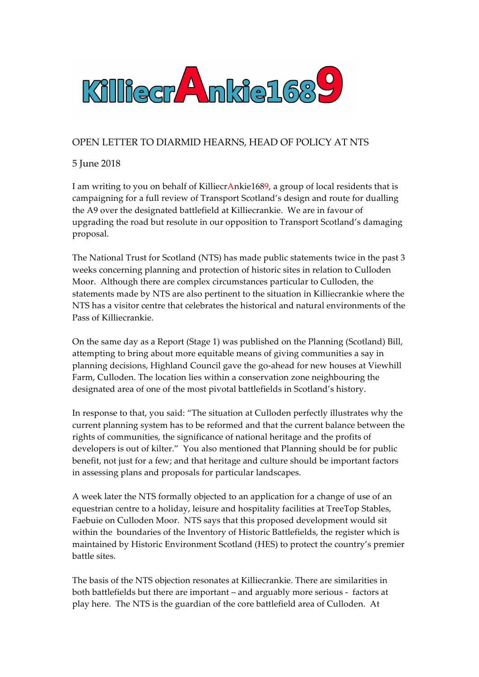

## OPEN LETTER TO DIARMID HEARNS, HEAD OF POLICY AT NTS

## 5 June 2018

I am writing to you on behalf of KilliecrAnkie1689, a group of local residents that is campaigning for a full review of Transport Scotland's design and route for dualling the A9 over the designated battlefield at Killiecrankie. We are in favour of upgrading the road but resolute in our opposition to Transport Scotland's damaging proposal.

The National Trust for Scotland (NTS) has made public statements twice in the past 3 weeks concerning planning and protection of historic sites in relation to Culloden Moor. Although there are complex circumstances particular to Culloden, the statements made by NTS are also pertinent to the situation in Killiecrankie where the NTS has a visitor centre that celebrates the historical and natural environments of the Pass of Killiecrankie.

On the same day as a Report (Stage 1) was published on the Planning (Scotland) Bill, attempting to bring about more equitable means of giving communities a say in planning decisions, Highland Council gave the go-ahead for new houses at Viewhill Farm, Culloden. The location lies within a conservation zone neighbouring the designated area of one of the most pivotal battlefields in Scotland's history.

In response to that, you said: "The situation at Culloden perfectly illustrates why the current planning system has to be reformed and that the current balance between the rights of communities, the significance of national heritage and the profits of developers is out of kilter." You also mentioned that Planning should be for public benefit, not just for a few; and that heritage and culture should be important factors in assessing plans and proposals for particular landscapes.

A week later the NTS formally objected to an application for a change of use of an equestrian centre to a holiday, leisure and hospitality facilities at TreeTop Stables, Faebuie on Culloden Moor. NTS says that this proposed development would sit within the boundaries of the Inventory of Historic Battlefields, the register which is maintained by Historic Environment Scotland (HES) to protect the country's premier battle sites.

The basis of the NTS objection resonates at Killiecrankie. There are similarities in both battlefields but there are important – and arguably more serious - factors at play here. The NTS is the guardian of the core battlefield area of Culloden. At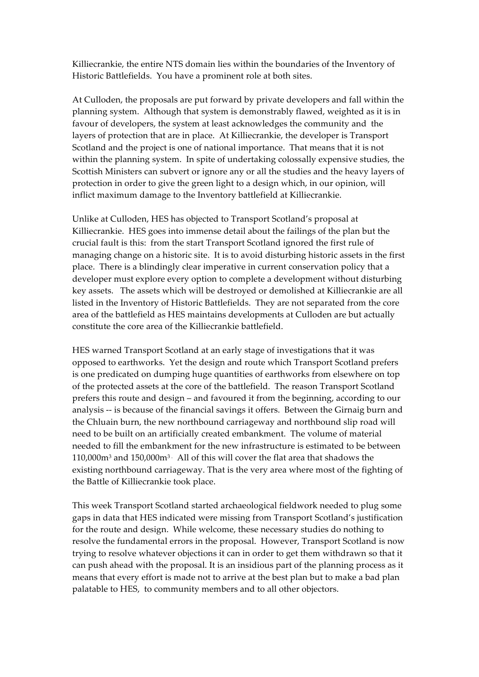Killiecrankie, the entire NTS domain lies within the boundaries of the Inventory of Historic Battlefields. You have a prominent role at both sites.

At Culloden, the proposals are put forward by private developers and fall within the planning system. Although that system is demonstrably flawed, weighted as it is in favour of developers, the system at least acknowledges the community and the layers of protection that are in place. At Killiecrankie, the developer is Transport Scotland and the project is one of national importance. That means that it is not within the planning system. In spite of undertaking colossally expensive studies, the Scottish Ministers can subvert or ignore any or all the studies and the heavy layers of protection in order to give the green light to a design which, in our opinion, will inflict maximum damage to the Inventory battlefield at Killiecrankie.

Unlike at Culloden, HES has objected to Transport Scotland's proposal at Killiecrankie. HES goes into immense detail about the failings of the plan but the crucial fault is this: from the start Transport Scotland ignored the first rule of managing change on a historic site. It is to avoid disturbing historic assets in the first place. There is a blindingly clear imperative in current conservation policy that a developer must explore every option to complete a development without disturbing key assets. The assets which will be destroyed or demolished at Killiecrankie are all listed in the Inventory of Historic Battlefields. They are not separated from the core area of the battlefield as HES maintains developments at Culloden are but actually constitute the core area of the Killiecrankie battlefield.

HES warned Transport Scotland at an early stage of investigations that it was opposed to earthworks. Yet the design and route which Transport Scotland prefers is one predicated on dumping huge quantities of earthworks from elsewhere on top of the protected assets at the core of the battlefield. The reason Transport Scotland prefers this route and design – and favoured it from the beginning, according to our analysis -- is because of the financial savings it offers. Between the Girnaig burn and the Chluain burn, the new northbound carriageway and northbound slip road will need to be built on an artificially created embankment. The volume of material needed to fill the embankment for the new infrastructure is estimated to be between  $110,000m<sup>3</sup>$  and  $150,000m<sup>3</sup>$ . All of this will cover the flat area that shadows the existing northbound carriageway. That is the very area where most of the fighting of the Battle of Killiecrankie took place.

This week Transport Scotland started archaeological fieldwork needed to plug some gaps in data that HES indicated were missing from Transport Scotland's justification for the route and design. While welcome, these necessary studies do nothing to resolve the fundamental errors in the proposal. However, Transport Scotland is now trying to resolve whatever objections it can in order to get them withdrawn so that it can push ahead with the proposal. It is an insidious part of the planning process as it means that every effort is made not to arrive at the best plan but to make a bad plan palatable to HES, to community members and to all other objectors.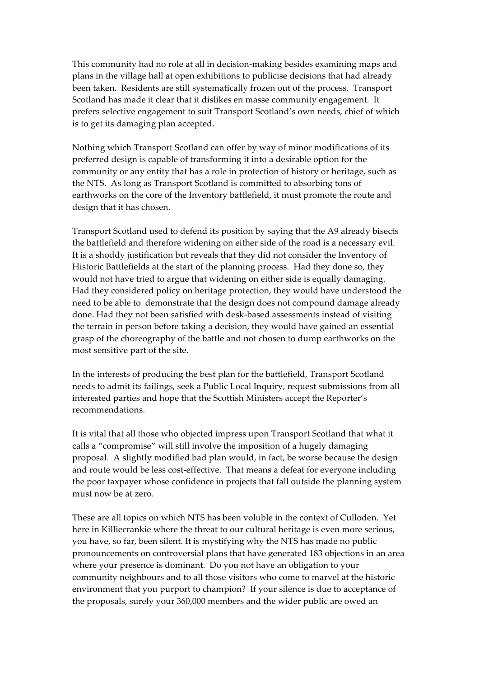This community had no role at all in decision-making besides examining maps and plans in the village hall at open exhibitions to publicise decisions that had already been taken. Residents are still systematically frozen out of the process. Transport Scotland has made it clear that it dislikes en masse community engagement. It prefers selective engagement to suit Transport Scotland's own needs, chief of which is to get its damaging plan accepted.

Nothing which Transport Scotland can offer by way of minor modifications of its preferred design is capable of transforming it into a desirable option for the community or any entity that has a role in protection of history or heritage, such as the NTS. As long as Transport Scotland is committed to absorbing tons of earthworks on the core of the Inventory battlefield, it must promote the route and design that it has chosen.

Transport Scotland used to defend its position by saying that the A9 already bisects the battlefield and therefore widening on either side of the road is a necessary evil. It is a shoddy justification but reveals that they did not consider the Inventory of Historic Battlefields at the start of the planning process. Had they done so, they would not have tried to argue that widening on either side is equally damaging. Had they considered policy on heritage protection, they would have understood the need to be able to demonstrate that the design does not compound damage already done. Had they not been satisfied with desk-based assessments instead of visiting the terrain in person before taking a decision, they would have gained an essential grasp of the choreography of the battle and not chosen to dump earthworks on the most sensitive part of the site.

In the interests of producing the best plan for the battlefield, Transport Scotland needs to admit its failings, seek a Public Local Inquiry, request submissions from all interested parties and hope that the Scottish Ministers accept the Reporter's recommendations.

It is vital that all those who objected impress upon Transport Scotland that what it calls a "compromise" will still involve the imposition of a hugely damaging proposal. A slightly modified bad plan would, in fact, be worse because the design and route would be less cost-effective. That means a defeat for everyone including the poor taxpayer whose confidence in projects that fall outside the planning system must now be at zero.

These are all topics on which NTS has been voluble in the context of Culloden. Yet here in Killiecrankie where the threat to our cultural heritage is even more serious, you have, so far, been silent. It is mystifying why the NTS has made no public pronouncements on controversial plans that have generated 183 objections in an area where your presence is dominant. Do you not have an obligation to your community neighbours and to all those visitors who come to marvel at the historic environment that you purport to champion? If your silence is due to acceptance of the proposals, surely your 360,000 members and the wider public are owed an